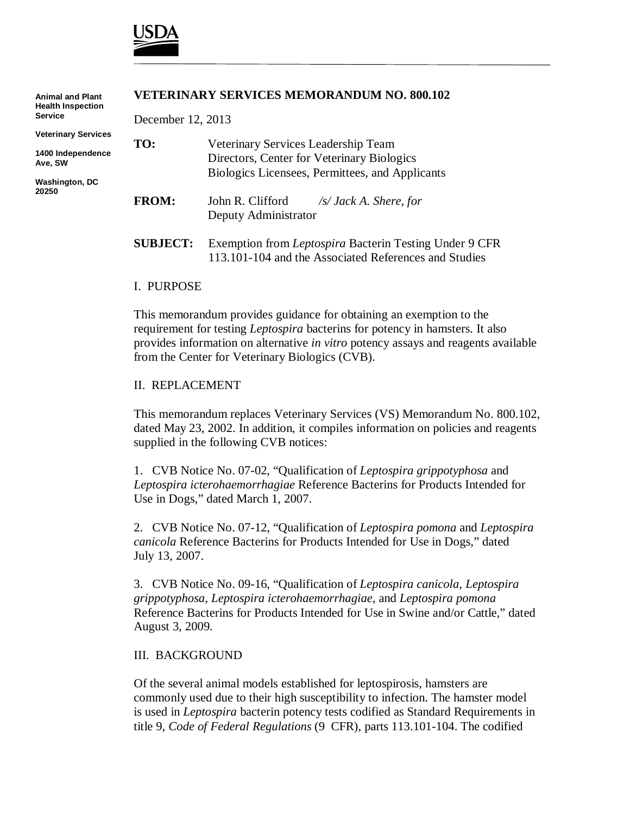

| <b>Animal and Plant</b><br><b>Health Inspection</b> | <b>VETERINARY SERVICES MEMORANDUM NO. 800.102</b> |                                                                           |  |
|-----------------------------------------------------|---------------------------------------------------|---------------------------------------------------------------------------|--|
| <b>Service</b>                                      | December 12, 2013                                 |                                                                           |  |
| <b>Veterinary Services</b>                          | TO:                                               | Veterinary Services Leadership Team                                       |  |
| 1400 Independence<br>Ave, SW                        |                                                   | Directors, Center for Veterinary Biologics                                |  |
| <b>Washington, DC</b><br>20250                      |                                                   | Biologics Licensees, Permittees, and Applicants                           |  |
|                                                     | <b>FROM:</b>                                      | John R. Clifford<br>$\sqrt{s}$ Jack A. Shere, for<br>Deputy Administrator |  |
|                                                     | <b>SUBJECT:</b>                                   | Exemption from Leptospira Bacterin Testing Under 9 CFR                    |  |

#### I. PURPOSE

This memorandum provides guidance for obtaining an exemption to the requirement for testing *Leptospira* bacterins for potency in hamsters. It also provides information on alternative *in vitro* potency assays and reagents available from the Center for Veterinary Biologics (CVB).

113.101-104 and the Associated References and Studies

#### II. REPLACEMENT

This memorandum replaces Veterinary Services (VS) Memorandum No. 800.102, dated May 23, 2002. In addition, it compiles information on policies and reagents supplied in the following CVB notices:

1. CVB Notice No. 07-02, "Qualification of *Leptospira grippotyphosa* and *Leptospira icterohaemorrhagiae* Reference Bacterins for Products Intended for Use in Dogs," dated March 1, 2007.

2. CVB Notice No. 07-12, "Qualification of *Leptospira pomona* and *Leptospira canicola* Reference Bacterins for Products Intended for Use in Dogs," dated July 13, 2007.

3. CVB Notice No. 09-16, "Qualification of *Leptospira canicola*, *Leptospira grippotyphosa*, *Leptospira icterohaemorrhagiae*, and *Leptospira pomona* Reference Bacterins for Products Intended for Use in Swine and/or Cattle," dated August 3, 2009.

#### III. BACKGROUND

Of the several animal models established for leptospirosis, hamsters are commonly used due to their high susceptibility to infection. The hamster model is used in *Leptospira* bacterin potency tests codified as Standard Requirements in title 9, *Code of Federal Regulations* (9 CFR), parts 113.101-104. The codified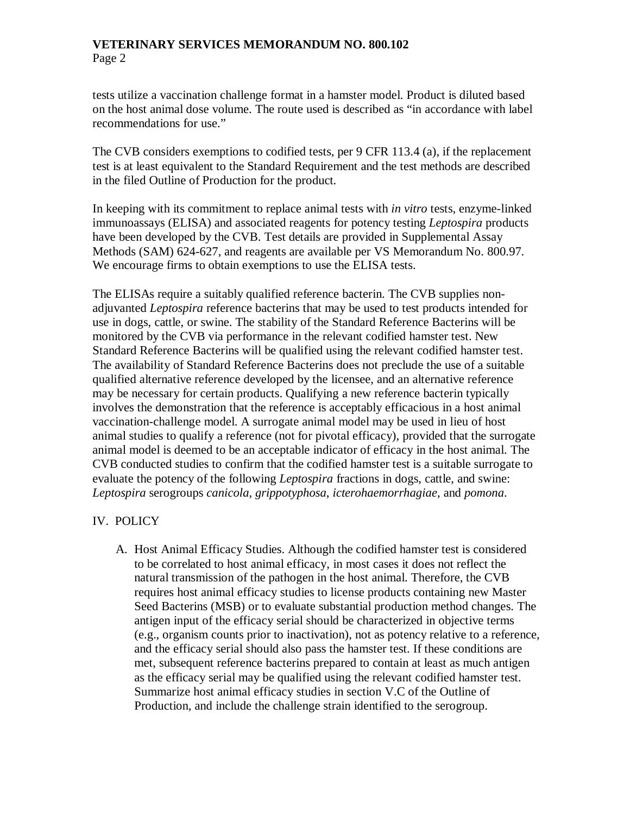tests utilize a vaccination challenge format in a hamster model. Product is diluted based on the host animal dose volume. The route used is described as "in accordance with label recommendations for use."

The CVB considers exemptions to codified tests, per 9 CFR 113.4 (a), if the replacement test is at least equivalent to the Standard Requirement and the test methods are described in the filed Outline of Production for the product.

In keeping with its commitment to replace animal tests with *in vitro* tests, enzyme-linked immunoassays (ELISA) and associated reagents for potency testing *Leptospira* products have been developed by the CVB. Test details are provided in Supplemental Assay Methods (SAM) 624-627, and reagents are available per VS Memorandum No. 800.97. We encourage firms to obtain exemptions to use the ELISA tests.

The ELISAs require a suitably qualified reference bacterin. The CVB supplies nonadjuvanted *Leptospira* reference bacterins that may be used to test products intended for use in dogs, cattle, or swine. The stability of the Standard Reference Bacterins will be monitored by the CVB via performance in the relevant codified hamster test. New Standard Reference Bacterins will be qualified using the relevant codified hamster test. The availability of Standard Reference Bacterins does not preclude the use of a suitable qualified alternative reference developed by the licensee, and an alternative reference may be necessary for certain products. Qualifying a new reference bacterin typically involves the demonstration that the reference is acceptably efficacious in a host animal vaccination-challenge model. A surrogate animal model may be used in lieu of host animal studies to qualify a reference (not for pivotal efficacy), provided that the surrogate animal model is deemed to be an acceptable indicator of efficacy in the host animal. The CVB conducted studies to confirm that the codified hamster test is a suitable surrogate to evaluate the potency of the following *Leptospira* fractions in dogs, cattle, and swine: *Leptospira* serogroups *canicola*, *grippotyphosa*, *icterohaemorrhagiae*, and *pomona*.

# IV. POLICY

A. Host Animal Efficacy Studies. Although the codified hamster test is considered to be correlated to host animal efficacy, in most cases it does not reflect the natural transmission of the pathogen in the host animal. Therefore, the CVB requires host animal efficacy studies to license products containing new Master Seed Bacterins (MSB) or to evaluate substantial production method changes. The antigen input of the efficacy serial should be characterized in objective terms (e.g., organism counts prior to inactivation), not as potency relative to a reference, and the efficacy serial should also pass the hamster test. If these conditions are met, subsequent reference bacterins prepared to contain at least as much antigen as the efficacy serial may be qualified using the relevant codified hamster test. Summarize host animal efficacy studies in section V.C of the Outline of Production, and include the challenge strain identified to the serogroup.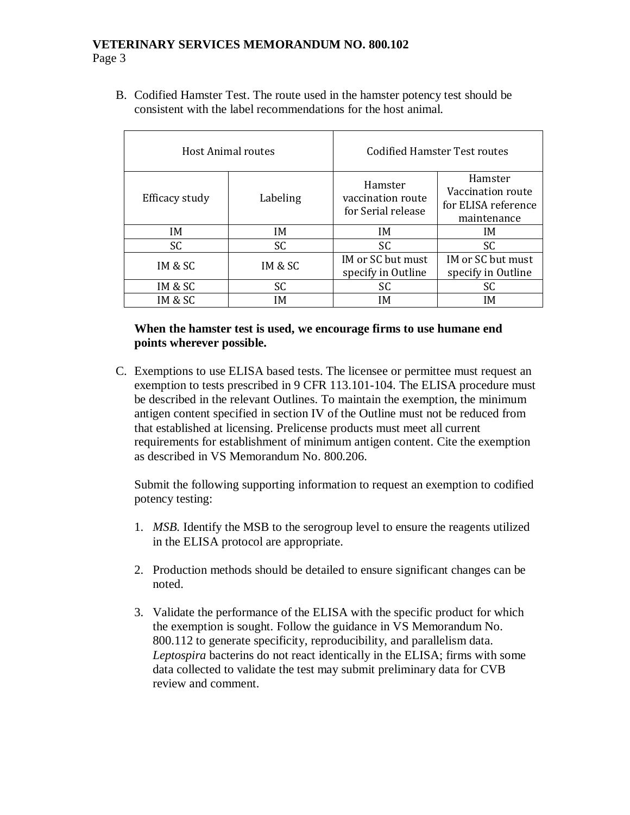B. Codified Hamster Test. The route used in the hamster potency test should be consistent with the label recommendations for the host animal.

|                | Host Animal routes | Codified Hamster Test routes                       |                                                                    |  |
|----------------|--------------------|----------------------------------------------------|--------------------------------------------------------------------|--|
| Efficacy study | Labeling           | Hamster<br>vaccination route<br>for Serial release | Hamster<br>Vaccination route<br>for ELISA reference<br>maintenance |  |
| IM.            | IM.                | IM.                                                | IM.                                                                |  |
| SC.            | SC                 | SC.                                                | SC                                                                 |  |
| IM & SC        | IM & SC            | IM or SC but must<br>specify in Outline            | IM or SC but must<br>specify in Outline                            |  |
| IM & SC        | <b>SC</b>          | SC                                                 | SC.                                                                |  |
| IM & SC        | IΜ                 | IΜ                                                 | IM                                                                 |  |

## **When the hamster test is used, we encourage firms to use humane end points wherever possible.**

C. Exemptions to use ELISA based tests. The licensee or permittee must request an exemption to tests prescribed in 9 CFR 113.101-104. The ELISA procedure must be described in the relevant Outlines. To maintain the exemption, the minimum antigen content specified in section IV of the Outline must not be reduced from that established at licensing. Prelicense products must meet all current requirements for establishment of minimum antigen content. Cite the exemption as described in VS Memorandum No. 800.206.

Submit the following supporting information to request an exemption to codified potency testing:

- 1. *MSB.* Identify the MSB to the serogroup level to ensure the reagents utilized in the ELISA protocol are appropriate.
- 2. Production methods should be detailed to ensure significant changes can be noted.
- 3. Validate the performance of the ELISA with the specific product for which the exemption is sought. Follow the guidance in VS Memorandum No. 800.112 to generate specificity, reproducibility, and parallelism data. *Leptospira* bacterins do not react identically in the ELISA; firms with some data collected to validate the test may submit preliminary data for CVB review and comment.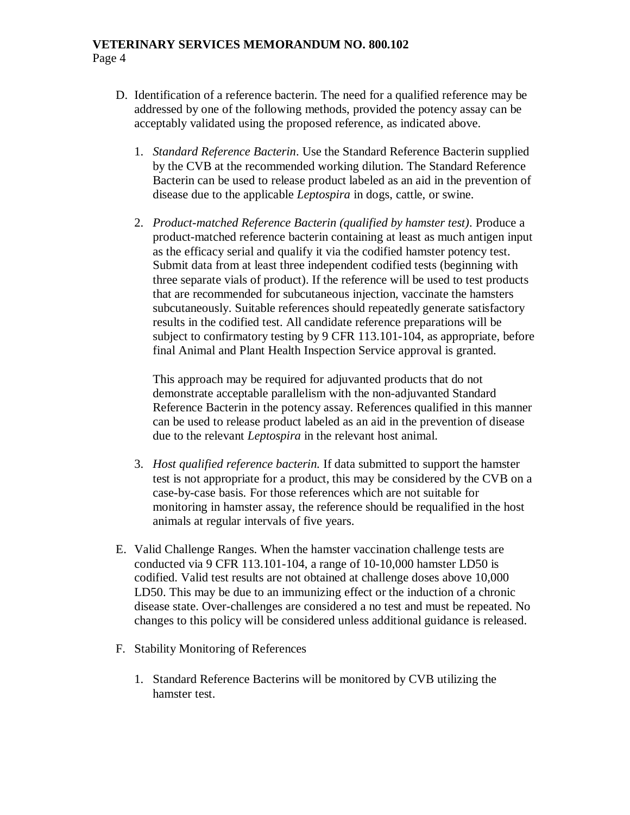- D. Identification of a reference bacterin. The need for a qualified reference may be addressed by one of the following methods, provided the potency assay can be acceptably validated using the proposed reference, as indicated above.
	- 1. *Standard Reference Bacterin*. Use the Standard Reference Bacterin supplied by the CVB at the recommended working dilution. The Standard Reference Bacterin can be used to release product labeled as an aid in the prevention of disease due to the applicable *Leptospira* in dogs, cattle, or swine.
	- 2. *Product-matched Reference Bacterin (qualified by hamster test)*. Produce a product-matched reference bacterin containing at least as much antigen input as the efficacy serial and qualify it via the codified hamster potency test. Submit data from at least three independent codified tests (beginning with three separate vials of product). If the reference will be used to test products that are recommended for subcutaneous injection, vaccinate the hamsters subcutaneously. Suitable references should repeatedly generate satisfactory results in the codified test. All candidate reference preparations will be subject to confirmatory testing by 9 CFR 113.101-104, as appropriate, before final Animal and Plant Health Inspection Service approval is granted.

This approach may be required for adjuvanted products that do not demonstrate acceptable parallelism with the non-adjuvanted Standard Reference Bacterin in the potency assay. References qualified in this manner can be used to release product labeled as an aid in the prevention of disease due to the relevant *Leptospira* in the relevant host animal.

- 3. *Host qualified reference bacterin.* If data submitted to support the hamster test is not appropriate for a product, this may be considered by the CVB on a case-by-case basis. For those references which are not suitable for monitoring in hamster assay, the reference should be requalified in the host animals at regular intervals of five years.
- E. Valid Challenge Ranges. When the hamster vaccination challenge tests are conducted via 9 CFR 113.101-104, a range of 10-10,000 hamster LD50 is codified. Valid test results are not obtained at challenge doses above 10,000 LD50. This may be due to an immunizing effect or the induction of a chronic disease state. Over-challenges are considered a no test and must be repeated. No changes to this policy will be considered unless additional guidance is released.
- F. Stability Monitoring of References
	- 1. Standard Reference Bacterins will be monitored by CVB utilizing the hamster test.